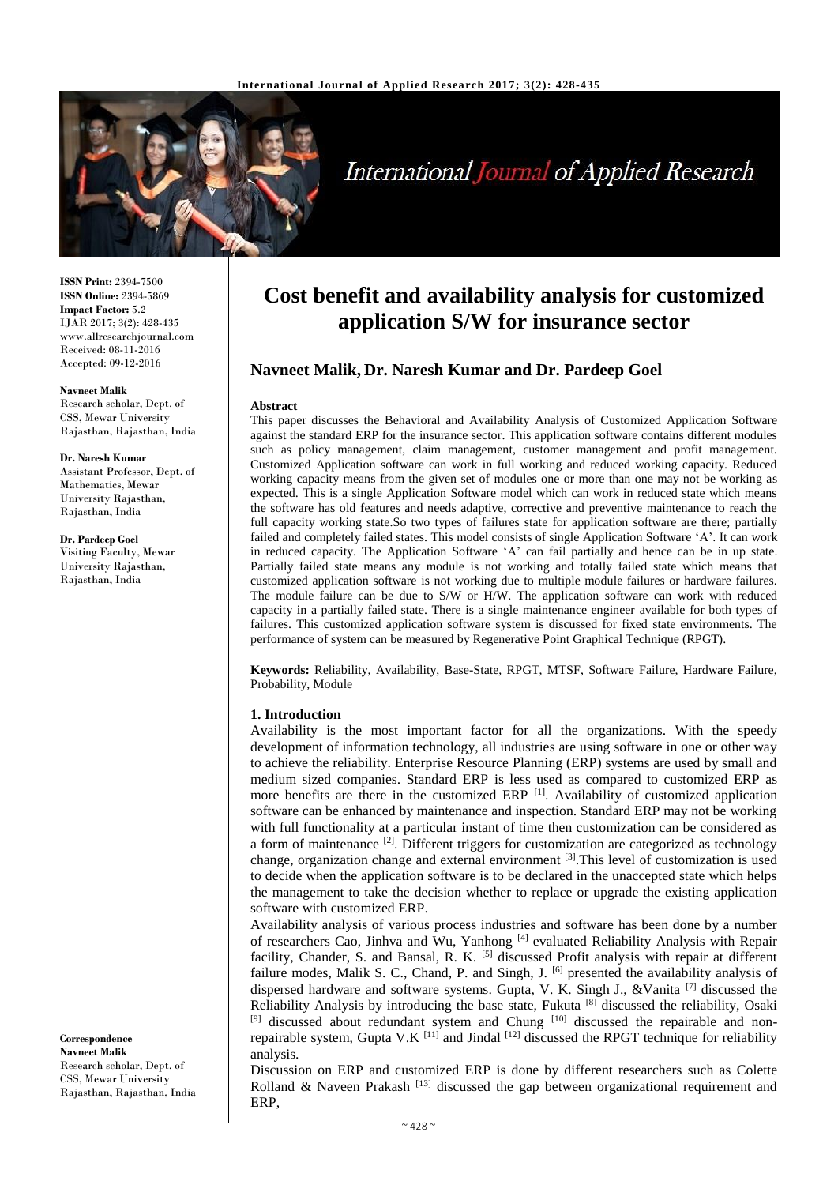

# **International Journal of Applied Research**

**ISSN Print:** 2394-7500 **ISSN Online:** 2394-5869 **Impact Factor:** 5.2 IJAR 2017; 3(2): 428-435 www.allresearchjournal.com Received: 08-11-2016 Accepted: 09-12-2016

#### **Navneet Malik**

Research scholar, Dept. of CSS, Mewar University Rajasthan, Rajasthan, India

#### **Dr. Naresh Kumar**

Assistant Professor, Dept. of Mathematics, Mewar University Rajasthan, Rajasthan, India

**Dr. Pardeep Goel** Visiting Faculty, Mewar University Rajasthan, Rajasthan, India

**Correspondence Navneet Malik** Research scholar, Dept. of CSS, Mewar University Rajasthan, Rajasthan, India

# **Cost benefit and availability analysis for customized application S/W for insurance sector**

# **Navneet Malik, Dr. Naresh Kumar and Dr. Pardeep Goel**

#### **Abstract**

This paper discusses the Behavioral and Availability Analysis of Customized Application Software against the standard ERP for the insurance sector. This application software contains different modules such as policy management, claim management, customer management and profit management. Customized Application software can work in full working and reduced working capacity. Reduced working capacity means from the given set of modules one or more than one may not be working as expected. This is a single Application Software model which can work in reduced state which means the software has old features and needs adaptive, corrective and preventive maintenance to reach the full capacity working state.So two types of failures state for application software are there; partially failed and completely failed states. This model consists of single Application Software 'A'. It can work in reduced capacity. The Application Software 'A' can fail partially and hence can be in up state. Partially failed state means any module is not working and totally failed state which means that customized application software is not working due to multiple module failures or hardware failures. The module failure can be due to S/W or H/W. The application software can work with reduced capacity in a partially failed state. There is a single maintenance engineer available for both types of failures. This customized application software system is discussed for fixed state environments. The performance of system can be measured by Regenerative Point Graphical Technique (RPGT).

**Keywords:** Reliability, Availability, Base-State, RPGT, MTSF, Software Failure, Hardware Failure, Probability, Module

#### **1. Introduction**

Availability is the most important factor for all the organizations. With the speedy development of information technology, all industries are using software in one or other way to achieve the reliability. Enterprise Resource Planning (ERP) systems are used by small and medium sized companies. Standard ERP is less used as compared to customized ERP as more benefits are there in the customized ERP [1]. Availability of customized application software can be enhanced by maintenance and inspection. Standard ERP may not be working with full functionality at a particular instant of time then customization can be considered as a form of maintenance <sup>[2]</sup>. Different triggers for customization are categorized as technology change, organization change and external environment [3]. This level of customization is used to decide when the application software is to be declared in the unaccepted state which helps the management to take the decision whether to replace or upgrade the existing application software with customized ERP.

Availability analysis of various process industries and software has been done by a number of researchers Cao, Jinhva and Wu, Yanhong [4] evaluated Reliability Analysis with Repair facility, Chander, S. and Bansal, R. K. <sup>[5]</sup> discussed Profit analysis with repair at different failure modes, Malik S. C., Chand, P. and Singh, J. [6] presented the availability analysis of dispersed hardware and software systems. Gupta, V. K. Singh J., &Vanita [7] discussed the Reliability Analysis by introducing the base state, Fukuta [8] discussed the reliability, Osaki [9] discussed about redundant system and Chung [10] discussed the repairable and nonrepairable system, Gupta V.K  $^{[11]}$  and Jindal  $^{[12]}$  discussed the RPGT technique for reliability analysis.

Discussion on ERP and customized ERP is done by different researchers such as Colette Rolland & Naveen Prakash  $[13]$  discussed the gap between organizational requirement and ERP,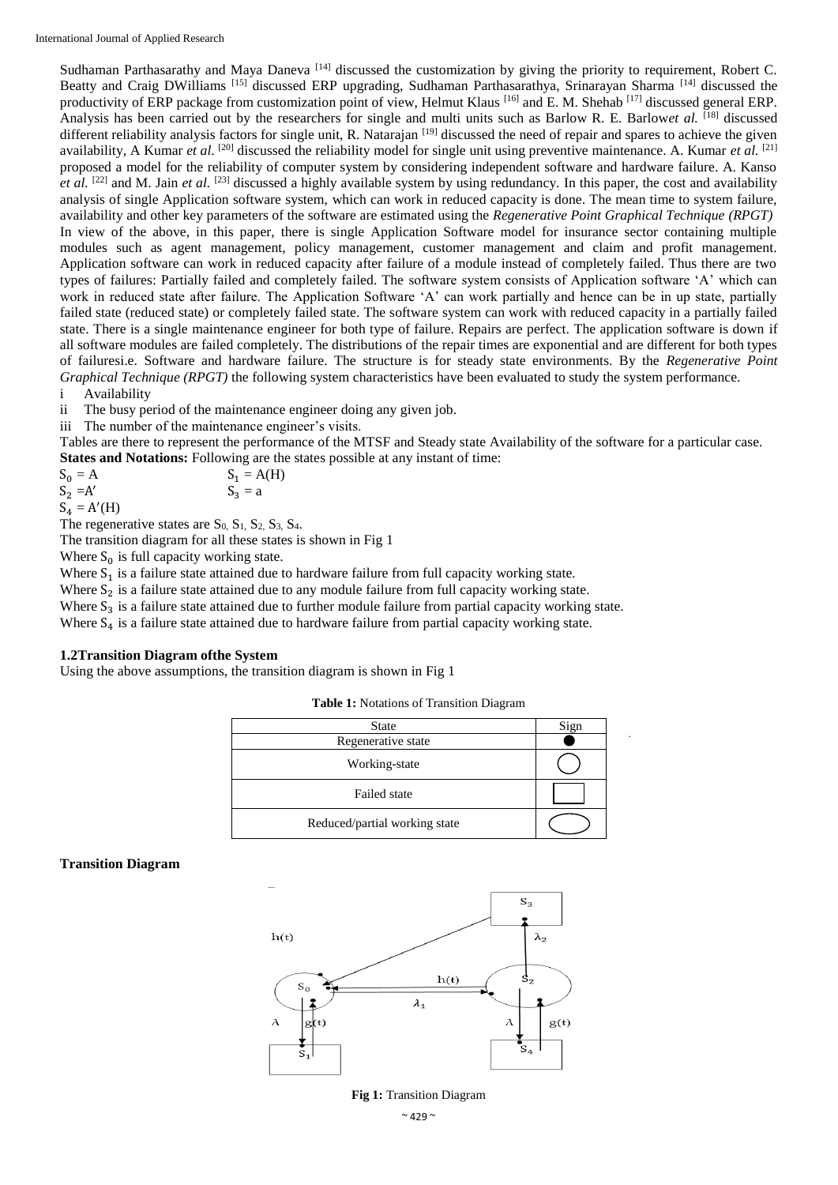Sudhaman Parthasarathy and Maya Daneva<sup>[14]</sup> discussed the customization by giving the priority to requirement, Robert C. Beatty and Craig DWilliams [15] discussed ERP upgrading, Sudhaman Parthasarathya, Srinarayan Sharma [14] discussed the productivity of ERP package from customization point of view, Helmut Klaus [16] and E. M. Shehab [17] discussed general ERP. Analysis has been carried out by the researchers for single and multi units such as Barlow R. E. Barlow*et al.* [18] discussed different reliability analysis factors for single unit, R. Natarajan <sup>[19]</sup> discussed the need of repair and spares to achieve the given availability, A Kumar *et al.* <sup>[20]</sup> discussed the reliability model for single unit using preventive maintenance. A. Kumar *et al.* <sup>[21]</sup> proposed a model for the reliability of computer system by considering independent software and hardware failure. A. Kanso et al. <sup>[22]</sup> and M. Jain *et al.* <sup>[23]</sup> discussed a highly available system by using redundancy. In this paper, the cost and availability analysis of single Application software system, which can work in reduced capacity is done. The mean time to system failure, availability and other key parameters of the software are estimated using the *Regenerative Point Graphical Technique (RPGT)* In view of the above, in this paper, there is single Application Software model for insurance sector containing multiple modules such as agent management, policy management, customer management and claim and profit management. Application software can work in reduced capacity after failure of a module instead of completely failed. Thus there are two types of failures: Partially failed and completely failed. The software system consists of Application software 'A' which can work in reduced state after failure. The Application Software 'A' can work partially and hence can be in up state, partially failed state (reduced state) or completely failed state. The software system can work with reduced capacity in a partially failed state. There is a single maintenance engineer for both type of failure. Repairs are perfect. The application software is down if all software modules are failed completely. The distributions of the repair times are exponential and are different for both types of failuresi.e. Software and hardware failure. The structure is for steady state environments. By the *Regenerative Point Graphical Technique (RPGT)* the following system characteristics have been evaluated to study the system performance.

i Availability

ii The busy period of the maintenance engineer doing any given job.

iii The number of the maintenance engineer's visits.

Tables are there to represent the performance of the MTSF and Steady state Availability of the software for a particular case. **States and Notations:** Following are the states possible at any instant of time:

 $S_0 = A$   $S_1 = A(H)$  $S_2 = A'$  $S_3 = a$ 

 $S_4 = A'(H)$ 

The regenerative states are  $S_0$ ,  $S_1$ ,  $S_2$ ,  $S_3$ ,  $S_4$ .

The transition diagram for all these states is shown in Fig 1

Where  $S_0$  is full capacity working state.

Where  $S_1$  is a failure state attained due to hardware failure from full capacity working state.

Where  $S_2$  is a failure state attained due to any module failure from full capacity working state.

Where  $S_3$  is a failure state attained due to further module failure from partial capacity working state.

Where  $S_4$  is a failure state attained due to hardware failure from partial capacity working state.

## **1.2Transition Diagram ofthe System**

Using the above assumptions, the transition diagram is shown in Fig 1

**Table 1:** Notations of Transition Diagram

| <b>State</b>                  | Sign |
|-------------------------------|------|
| Regenerative state            |      |
| Working-state                 |      |
| Failed state                  |      |
| Reduced/partial working state |      |

## **Transition Diagram**



#### **Fig 1:** Transition Diagram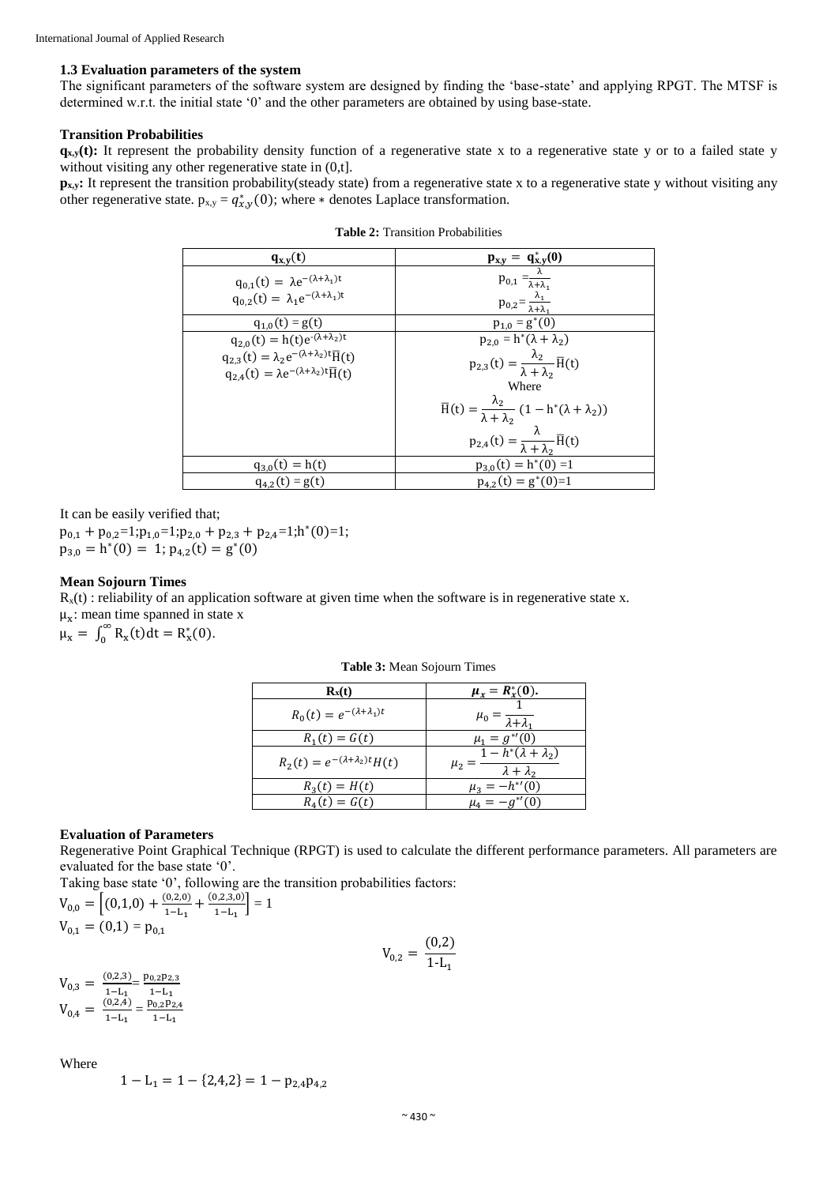#### **1.3 Evaluation parameters of the system**

The significant parameters of the software system are designed by finding the 'base-state' and applying RPGT. The MTSF is determined w.r.t. the initial state '0' and the other parameters are obtained by using base-state.

## **Transition Probabilities**

 $q_{x,y}(t)$ : It represent the probability density function of a regenerative state x to a regenerative state y or to a failed state y without visiting any other regenerative state in  $(0,t]$ .

**p<sub>x,y</sub>**: It represent the transition probability(steady state) from a regenerative state x to a regenerative state y without visiting any other regenerative state.  $p_{x,y} = q_{x,y}^*(0)$ ; where  $*$  denotes Laplace transformation.

| $q_{x,y}(t)$                                                                                                                               |                                                                                                                                      |
|--------------------------------------------------------------------------------------------------------------------------------------------|--------------------------------------------------------------------------------------------------------------------------------------|
| $q_{0,1}(t) = \lambda e^{-(\lambda + \lambda_1)t}$<br>$q_{0,2}(t) = \lambda_1 e^{-(\lambda + \lambda_1)t}$                                 | $\frac{\mathbf{p}_{\mathbf{x},\mathbf{y}} = \mathbf{q}_{\mathbf{x},\mathbf{y}}^*(0)}{p_{0,1} = \frac{\lambda}{\lambda + \lambda_1}}$ |
|                                                                                                                                            | $p_{0,2} = \frac{\lambda_1}{\lambda + \lambda_1}$                                                                                    |
| $q_{1,0}(t) = g(t)$                                                                                                                        | $p_{1,0} = g^*(0)$                                                                                                                   |
| $q_{2,0}(t) = h(t)e^{-(\lambda + \lambda_2)t}$                                                                                             | $p_{2,0} = h^*(\lambda + \lambda_2)$                                                                                                 |
| $q_{2,3}(t) = \lambda_2 e^{-(\lambda + \lambda_2)t} \overline{H}(t)$<br>$q_{2,4}(t) = \lambda e^{-(\lambda + \lambda_2)t} \overline{H}(t)$ | $p_{2,3}(t) = \frac{\lambda_2}{\lambda + \lambda_2} \overline{H}(t)$                                                                 |
|                                                                                                                                            | Where                                                                                                                                |
|                                                                                                                                            | $\overline{H}(t) = \frac{\lambda_2}{\lambda + \lambda_2} (1 - h^*(\lambda + \lambda_2))$                                             |
|                                                                                                                                            | $p_{2,4}(t) = \frac{\lambda}{\lambda + \lambda_2} \overline{H}(t)$                                                                   |
| $q_{3,0}(t) = h(t)$                                                                                                                        | $p_{3,0}(t) = h^{*}(\overline{0)} = 1$                                                                                               |
| $q_{4,2}(t) = g(t)$                                                                                                                        | $p_{4,2}(t) = g^*(0)=1$                                                                                                              |

**Table 2:** Transition Probabilities

It can be easily verified that;

 $p_{0,1} + p_{0,2} = 1; p_{1,0} = 1; p_{2,0} + p_{2,3} + p_{2,4} = 1; h^{*}(0) = 1;$  $p_{3,0} = h^{*}(0) = 1; p_{4,2}(t) = g^{*}(0)$ 

## **Mean Sojourn Times**

 $R_x(t)$ : reliability of an application software at given time when the software is in regenerative state x.  $\mu_x$ : mean time spanned in state x  $\mu_x = \int_0^\infty R_x(t) dt = R_x^*(0).$ 

| $R_x(t)$                                    | $\mu_x = R_x^*(0)$ .                                             |
|---------------------------------------------|------------------------------------------------------------------|
| $R_0(t) = e^{-(\lambda + \lambda_1)t}$      | $\mu_0 = \frac{\lambda_0}{\lambda_0 + \lambda_1}$                |
| $R_1(t) = G(t)$                             | $\mu_1 = g^{\ast \prime}(0)$                                     |
| $R_2(t) = e^{-(\lambda + \lambda_2)t} H(t)$ | $1-h^*(\lambda+\lambda_2)$<br>$\mu_2 =$<br>$\lambda + \lambda_2$ |
| $R_3(t) = H(t)$                             | $\mu_3 = -h^{*'}(0)$                                             |
| $R_{A}(t) = G(t)$                           | $\mu_{4} =$                                                      |

**Table 3:** Mean Sojourn Times

#### **Evaluation of Parameters**

Regenerative Point Graphical Technique (RPGT) is used to calculate the different performance parameters. All parameters are evaluated for the base state '0'.

> $V_{0,2} = \frac{(0,2)}{1,1}$  $1-L_1$

Taking base state '0', following are the transition probabilities factors:

 $V_{0,0} = \left[ (0,1,0) + \frac{(0,2,0)}{1-1} \right]$  $\frac{(0,2,0)}{1-L_1} + \frac{(0,2,3,0)}{1-L_1}$  $\left[\frac{J(2,3,0)}{1-L_1}\right]=1$  $V_{0.1} = (0.1) = p_{0.1}$ 

$$
\begin{array}{l} V_{0,3} \,=\,\frac{(0,2,3)}{1-L_1} \!\!\!\!\!& = \frac{p_{0,2}p_{2,3}}{1-L_1} \\ V_{0,4} \,=\,\frac{(0,2,4)}{1-L_1} \!\!\!\!\!& = \frac{p_{0,2}p_{2,4}}{1-L_1} \end{array}
$$

Where

$$
1 - L_1 = 1 - \{2, 4, 2\} = 1 - p_{2,4}p_{4,2}
$$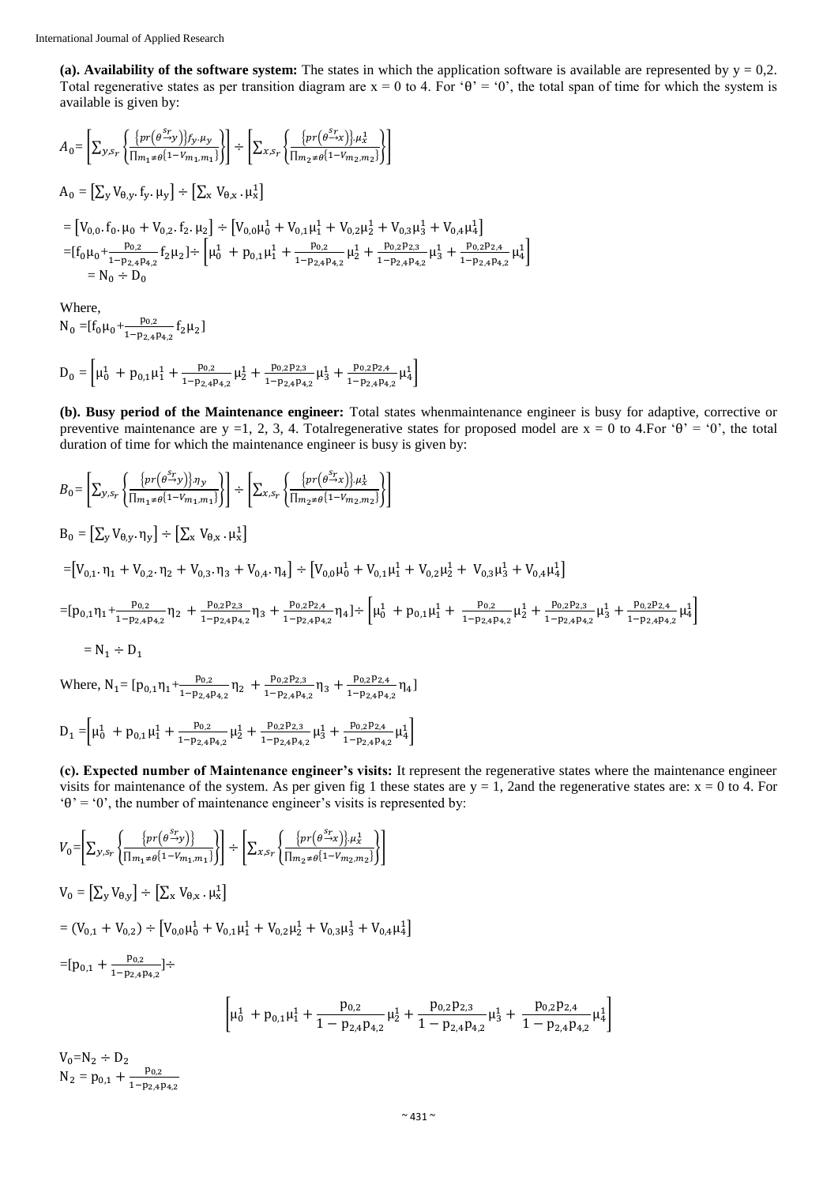(a). Availability of the software system: The states in which the application software is available are represented by  $y = 0.2$ . Total regenerative states as per transition diagram are  $x = 0$  to 4. For ' $\theta$ ' = '0', the total span of time for which the system is available is given by:

$$
A_{0} = \left[\sum_{y,s_{r}}\left\{\frac{\{pr(\theta^{S_{r}})\}f_{y}.\mu_{y}}{\prod_{m_{1} \neq \theta}\{1-V_{m_{1},m_{1}}\}}\right\}\right] \div \left[\sum_{x,s_{r}}\left\{\frac{\{pr(\theta^{S_{r}})\}.\mu_{x}^{1}}{\prod_{m_{2} \neq \theta}\{1-V_{m_{2},m_{2}}\}}\right\}\right]
$$
  
\n
$$
A_{0} = \left[\sum_{y}V_{\theta,y}, f_{y}, \mu_{y}\right] \div \left[\sum_{x}V_{\theta,x}, \mu_{x}^{1}\right]
$$
  
\n
$$
= \left[V_{0,0}, f_{0}, \mu_{0} + V_{0,2}, f_{2}, \mu_{2}\right] \div \left[V_{0,0}\mu_{0}^{1} + V_{0,1}\mu_{1}^{1} + V_{0,2}\mu_{2}^{1} + V_{0,3}\mu_{3}^{1} + V_{0,4}\mu_{4}^{1}\right]
$$
  
\n
$$
= [f_{0}\mu_{0} + \frac{p_{0,2}}{1-p_{2,4}p_{4,2}}f_{2}\mu_{2}] \div \left[\mu_{0}^{1} + p_{0,1}\mu_{1}^{1} + \frac{p_{0,2}}{1-p_{2,4}p_{4,2}}\mu_{2}^{1} + \frac{p_{0,2}p_{2,3}}{1-p_{2,4}p_{4,2}}\mu_{3}^{1} + \frac{p_{0,2}p_{2,4}}{1-p_{2,4}p_{4,2}}\mu_{4}^{1}\right]
$$
  
\n
$$
= N_{0} \div D_{0}
$$

Where,

 $N_0 = [f_0 \mu_0 + \frac{p_{0,2}}{1-p_{0,1}}]$  $\frac{p_{0,2}}{1-p_{2,4}p_{4,2}}f_2\mu_2$ 

$$
D_0 = \left[ \mu_0^1 + p_{0,1} \mu_1^1 + \frac{p_{0,2}}{1 - p_{2,4} p_{4,2}} \mu_2^1 + \frac{p_{0,2} p_{2,3}}{1 - p_{2,4} p_{4,2}} \mu_3^1 + \frac{p_{0,2} p_{2,4}}{1 - p_{2,4} p_{4,2}} \mu_4^1 \right]
$$

**(b). Busy period of the Maintenance engineer:** Total states whenmaintenance engineer is busy for adaptive, corrective or preventive maintenance are y =1, 2, 3, 4. Totalregenerative states for proposed model are x = 0 to 4. For  $\theta$  =  $0$ , the total duration of time for which the maintenance engineer is busy is given by:

$$
B_{0} = \left[\sum_{y,s_{r}} \left\{ \frac{\{pr(\theta^{s_{r}}y)\} \cdot \eta_{y}}{\prod_{m_{1} \neq \theta} \{1 - V_{m_{1},m_{1}}\}} \right\} \right] \div \left[\sum_{x,s_{r}} \left\{ \frac{\{pr(\theta^{s_{r}}y)\} \cdot \mu_{x}^{1}}{\prod_{m_{2} \neq \theta} \{1 - V_{m_{2},m_{2}}\}} \right\} \right]
$$
  
\n
$$
B_{0} = \left[\sum_{y} V_{\theta,y}, \eta_{y}\right] \div \left[\sum_{x} V_{\theta,x}, \mu_{x}^{1}\right]
$$
  
\n
$$
= \left[V_{0,1}, \eta_{1} + V_{0,2}, \eta_{2} + V_{0,3}, \eta_{3} + V_{0,4}, \eta_{4}\right] \div \left[V_{0,0} \mu_{0}^{1} + V_{0,1} \mu_{1}^{1} + V_{0,2} \mu_{2}^{1} + V_{0,4} \mu_{4}^{1}\right]
$$
  
\n
$$
= \left[p_{0,1} \eta_{1} + \frac{p_{0,2}}{1 - p_{2,4} p_{4,2}} \eta_{2} + \frac{p_{0,2} p_{2,3}}{1 - p_{2,4} p_{4,2}} \eta_{3} + \frac{p_{0,2} p_{2,4}}{1 - p_{2,4} p_{4,2}} \eta_{4}\right] \div \left[\mu_{0}^{1} + p_{0,1} \mu_{1}^{1} + \frac{p_{0,2}}{1 - p_{2,4} p_{4,2}} \mu_{2}^{1} + \frac{p_{0,2} p_{2,3}}{1 - p_{2,4} p_{4,2}} \mu_{3}^{1} + \frac{p_{0,2} p_{2,4}}{1 - p_{2,4} p_{4,2}} \mu_{4}^{1}\right]
$$
  
\n
$$
= N_{1} \div D_{1}
$$
  
\nWhere, N<sub>1</sub> = [p<sub>0,1</sub>η<sub>1</sub> +  $\frac{p_{0,2}}{1 - p_{2,4} p_{4,2}} \eta_{2} + \frac{p_{0,2} p_{2,3}}{1 - p_{2,4} p_{4,2}} \eta_{3} + \frac{p_{0,2} p_{2,4}}{1 - p_{2$ 

$$
D_1 = \left[ \mu_0^1 + p_{0,1} \mu_1^1 + \frac{p_{0,2}}{1 - p_{2,4} p_{4,2}} \mu_2^1 + \frac{p_{0,2} p_{2,3}}{1 - p_{2,4} p_{4,2}} \mu_3^1 + \frac{p_{0,2} p_{2,4}}{1 - p_{2,4} p_{4,2}} \mu_4^1 \right]
$$

**(c). Expected number of Maintenance engineer's visits:** It represent the regenerative states where the maintenance engineer visits for maintenance of the system. As per given fig 1 these states are  $y = 1$ , 2and the regenerative states are:  $x = 0$  to 4. For ' $\theta$ ' = '0', the number of maintenance engineer's visits is represented by:

$$
V_{0} = \left[\sum_{y,s_{r}} \left\{ \frac{\left\{ pr(\theta^{S_{r}}y) \right\}}{\prod_{m_{1} \neq \theta} \left\{ 1 - V_{m_{1},m_{1}} \right\}} \right\} \right] \div \left[\sum_{x,s_{r}} \left\{ \frac{\left\{ pr(\theta^{S_{r}}x) \right\} \mu_{x}^{1}}{\prod_{m_{2} \neq \theta} \left\{ 1 - V_{m_{2},m_{2}} \right\}} \right\} \right]
$$
  
\n
$$
V_{0} = \left[\sum_{y} V_{\theta,y} \right] \div \left[\sum_{x} V_{\theta,x} \mu_{x}^{1} \right]
$$
  
\n
$$
= (V_{0,1} + V_{0,2}) \div \left[V_{0,0} \mu_{0}^{1} + V_{0,1} \mu_{1}^{1} + V_{0,2} \mu_{2}^{1} + V_{0,3} \mu_{3}^{1} + V_{0,4} \mu_{4}^{1} \right]
$$
  
\n
$$
= [p_{0,1} + \frac{p_{0,2}}{1 - p_{2,4} p_{4,2}}] \div \left[\mu_{0}^{1} + p_{0,1} \mu_{1}^{1} + \frac{p_{0,2}}{1 - p_{2,4} p_{4,2}} \mu_{2}^{1} + \frac{p_{0,2} p_{2,3}}{1 - p_{2,4} p_{4,2}} \mu_{3}^{1} + \frac{p_{0,2} p_{2,4}}{1 - p_{2,4} p_{4,2}} \mu_{4}^{1} \right]
$$
  
\n
$$
V_{0} = N_{2} \div D_{2}
$$
  
\n
$$
N_{2} = p_{0,1} + \frac{p_{0,2}}{1 - p_{2,4} p_{4,2}} \left[\mu_{0,1}^{1} + \frac{p_{0,2}}{1 - p_{2,4} p_{4,2}} \mu_{4}^{1} + \frac{p_{0,2} p_{2,4}}{1 - p_{2,4} p_{4,2}} \mu_{4}^{1} \right]
$$

 $N_2 = p_{0,1} + \frac{p_{0,2}}{1-p_{2,4}p_{4,2}}$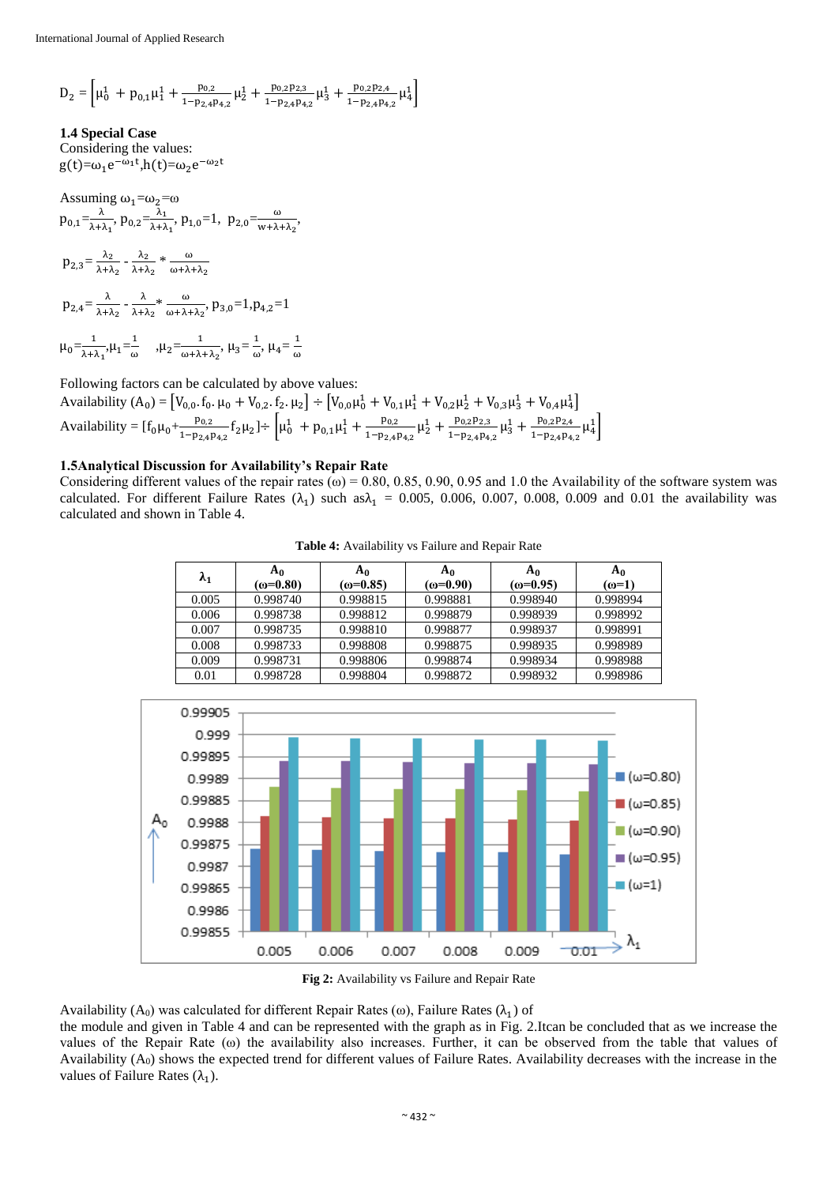$$
D_2=\left[\mu_0^1~+~p_{0,1}\mu_1^1+~\frac{p_{0,2}}{1-p_{2,4}p_{4,2}}\mu_2^1+~\frac{p_{0,2}p_{2,3}}{1-p_{2,4}p_{4,2}}\mu_3^1+~\frac{p_{0,2}p_{2,4}}{1-p_{2,4}p_{4,2}}\mu_4^1\right]
$$

**1.4 Special Case**

Considering the values:  $g(t)=\omega_1e^{-\omega_1t}$ ,h(t)= $\omega_2e^{-\omega_2t}$ 

Assuming  $\omega_1 = \omega_2 = \omega$  $p_{0,1}=\frac{\lambda}{\lambda}$  $\frac{\lambda}{\lambda+\lambda_1}$ ,  $p_{0,2} = \frac{\lambda_1}{\lambda+\lambda}$  $\frac{\lambda_1}{\lambda_1 \lambda_1}$ ,  $p_{1,0} = 1$ ,  $p_{2,0} = \frac{\omega}{w + \lambda_1}$  $\frac{\omega}{w + \lambda + \lambda_2}$  $p_{2,3} = \frac{\lambda_2}{\lambda_1 + \lambda_2}$  $\frac{\lambda_2}{\lambda+\lambda_2}$  -  $\frac{\lambda_2}{\lambda+\lambda}$  $\frac{\lambda_2}{\lambda + \lambda_2} * \frac{\omega}{\omega + \lambda}$ ω+λ+λ $_2$  $p_{2,4} = \frac{\lambda}{\lambda + 1}$  $\frac{\lambda}{\lambda+\lambda_2}$  -  $\frac{\lambda}{\lambda+\lambda}$  $\frac{\lambda}{\lambda+\lambda_2} * \frac{\omega}{\omega+\lambda}$  $\frac{\omega}{\omega + \lambda + \lambda_2}$ ,  $p_{3,0} = 1$ ,  $p_{4,2} = 1$  $\mu_0 = \frac{1}{\sqrt{1 - \frac{1}{2}}}$  $\frac{1}{\lambda + \lambda_1}, \mu_1 = \frac{1}{\omega}$  $\frac{1}{\omega}$ ,  $\mu_2 = \frac{1}{\omega + \lambda}$  $\frac{1}{\omega + \lambda + \lambda_2}, \mu_3 = \frac{1}{\omega}$  $\frac{1}{\omega}$ ,  $\mu_4 = \frac{1}{\omega}$ 

Following factors can be calculated by above values:

Availability  $(A_0) = [V_{0,0}. f_0. \mu_0 + V_{0,2}. f_2. \mu_2] \div [V_{0,0} \mu_0^1 + V_{0,1} \mu_1^1 + V_{0,2} \mu_2^1 + V_{0,3} \mu_3^1 + V_{0,4} \mu_4^1]$ Availability =  $[f_0 \mu_0 + \frac{p_{0,2}}{1-p_{0,2}}]$  $\frac{p_{0,2}}{1-p_{2,4}p_{4,2}}f_2\mu_2$  +  $\mu_0^1$  +  $p_{0,1}\mu_1^1$  +  $\frac{p_{0,2}}{1-p_{2,4}p_{4,2}}$  $\frac{p_{0,2}}{1-p_{2,4}p_{4,2}} \mu_2^1 + \frac{p_{0,2}p_{2,3}}{1-p_{2,4}p_4}$  $\frac{p_{0,2}p_{2,3}}{1-p_{2,4}p_{4,2}} \mu_3^1 + \frac{p_{0,2}p_{2,4}}{1-p_{2,4}p_{4,4}}$  $\frac{p_{0,2}p_{2,4}}{1-p_{2,4}p_{4,2}} \mu_4^1$ 

ω

# **1.5Analytical Discussion for Availability's Repair Rate**

Considering different values of the repair rates ( $\omega$ ) = 0.80, 0.85, 0.90, 0.95 and 1.0 the Availability of the software system was calculated. For different Failure Rates  $(\lambda_1)$  such as $\lambda_1 = 0.005, 0.006, 0.007, 0.008, 0.009$  and 0.01 the availability was calculated and shown in Table 4.

**Table 4:** Availability vs Failure and Repair Rate

| $\lambda_1$ | A <sub>0</sub><br>$(\omega = 0.80)$ | A <sub>0</sub><br>$(\omega = 0.85)$ | A <sub>0</sub><br>$(ω=0.90)$ | A <sub>0</sub><br>$(\omega = 0.95)$ | $A_0$<br>$(\omega=1)$ |
|-------------|-------------------------------------|-------------------------------------|------------------------------|-------------------------------------|-----------------------|
| 0.005       | 0.998740                            | 0.998815                            | 0.998881                     | 0.998940                            | 0.998994              |
| 0.006       | 0.998738                            | 0.998812                            | 0.998879                     | 0.998939                            | 0.998992              |
| 0.007       | 0.998735                            | 0.998810                            | 0.998877                     | 0.998937                            | 0.998991              |
| 0.008       | 0.998733                            | 0.998808                            | 0.998875                     | 0.998935                            | 0.998989              |
| 0.009       | 0.998731                            | 0.998806                            | 0.998874                     | 0.998934                            | 0.998988              |
| 0.01        | 0.998728                            | 0.998804                            | 0.998872                     | 0.998932                            | 0.998986              |



**Fig 2:** Availability vs Failure and Repair Rate

Availability (A<sub>0</sub>) was calculated for different Repair Rates ( $\omega$ ), Failure Rates ( $\lambda_1$ ) of

the module and given in Table 4 and can be represented with the graph as in Fig. 2.Itcan be concluded that as we increase the values of the Repair Rate (ω) the availability also increases. Further, it can be observed from the table that values of Availability (A0) shows the expected trend for different values of Failure Rates. Availability decreases with the increase in the values of Failure Rates  $(\lambda_1)$ .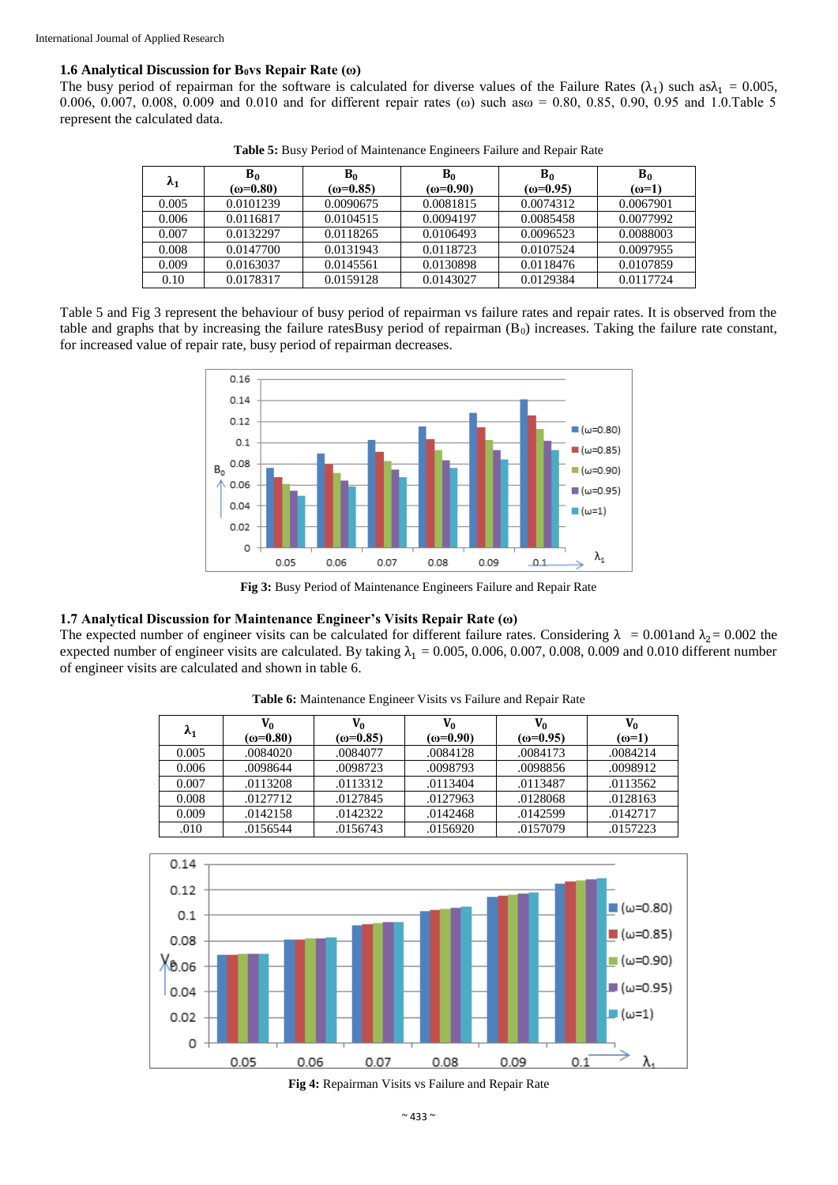# **1.6 Analytical Discussion for B0vs Repair Rate (ω)**

The busy period of repairman for the software is calculated for diverse values of the Failure Rates  $(\lambda_1)$  such as $\lambda_1 = 0.005$ , 0.006, 0.007, 0.008, 0.009 and 0.010 and for different repair rates ( $\omega$ ) such as $\omega$  = 0.80, 0.85, 0.90, 0.95 and 1.0.Table 5 represent the calculated data.

| $\lambda_1$ | $B_0$<br>$(\omega = 0.80)$ | $B_0$<br>$(\omega = 0.85)$ | $B_0$<br>$\omega = 0.90$ | $B_0$<br>$(\omega = 0.95)$ | $B_0$<br>$(\omega=1)$ |
|-------------|----------------------------|----------------------------|--------------------------|----------------------------|-----------------------|
| 0.005       | 0.0101239                  | 0.0090675                  | 0.0081815                | 0.0074312                  | 0.0067901             |
| 0.006       | 0.0116817                  | 0.0104515                  | 0.0094197                | 0.0085458                  | 0.0077992             |
| 0.007       | 0.0132297                  | 0.0118265                  | 0.0106493                | 0.0096523                  | 0.0088003             |
| 0.008       | 0.0147700                  | 0.0131943                  | 0.0118723                | 0.0107524                  | 0.0097955             |
| 0.009       | 0.0163037                  | 0.0145561                  | 0.0130898                | 0.0118476                  | 0.0107859             |
| 0.10        | 0.0178317                  | 0.0159128                  | 0.0143027                | 0.0129384                  | 0.0117724             |

**Table 5:** Busy Period of Maintenance Engineers Failure and Repair Rate

Table 5 and Fig 3 represent the behaviour of busy period of repairman vs failure rates and repair rates. It is observed from the table and graphs that by increasing the failure ratesBusy period of repairman  $(B<sub>0</sub>)$  increases. Taking the failure rate constant, for increased value of repair rate, busy period of repairman decreases.



**Fig 3:** Busy Period of Maintenance Engineers Failure and Repair Rate

#### **1.7 Analytical Discussion for Maintenance Engineer's Visits Repair Rate (ω)**

The expected number of engineer visits can be calculated for different failure rates. Considering  $\lambda = 0.001$  and  $\lambda_2 = 0.002$  the expected number of engineer visits are calculated. By taking  $\lambda_1 = 0.005, 0.006, 0.007, 0.008, 0.009$  and 0.010 different number of engineer visits are calculated and shown in table 6.

| $\lambda_1$ | V0<br>$(\omega = 0.80)$ | V <sub>0</sub><br>$(\omega = 0.85)$ | V0<br>$(\omega = 0.90)$ | Vo<br>$(\omega = 0.95)$ | V <sub>0</sub><br>$(\omega=1)$ |
|-------------|-------------------------|-------------------------------------|-------------------------|-------------------------|--------------------------------|
| 0.005       | .0084020                | .0084077                            | .0084128                | .0084173                | .0084214                       |
| 0.006       | .0098644                | .0098723                            | .0098793                | .0098856                | .0098912                       |
| 0.007       | .0113208                | .0113312                            | .0113404                | .0113487                | .0113562                       |
| 0.008       | .0127712                | .0127845                            | .0127963                | .0128068                | .0128163                       |
| 0.009       | .0142158                | .0142322                            | .0142468                | .0142599                | .0142717                       |
| .010        | .0156544                | .0156743                            | .0156920                | .0157079                | .0157223                       |

**Table 6:** Maintenance Engineer Visits vs Failure and Repair Rate



**Fig 4:** Repairman Visits vs Failure and Repair Rate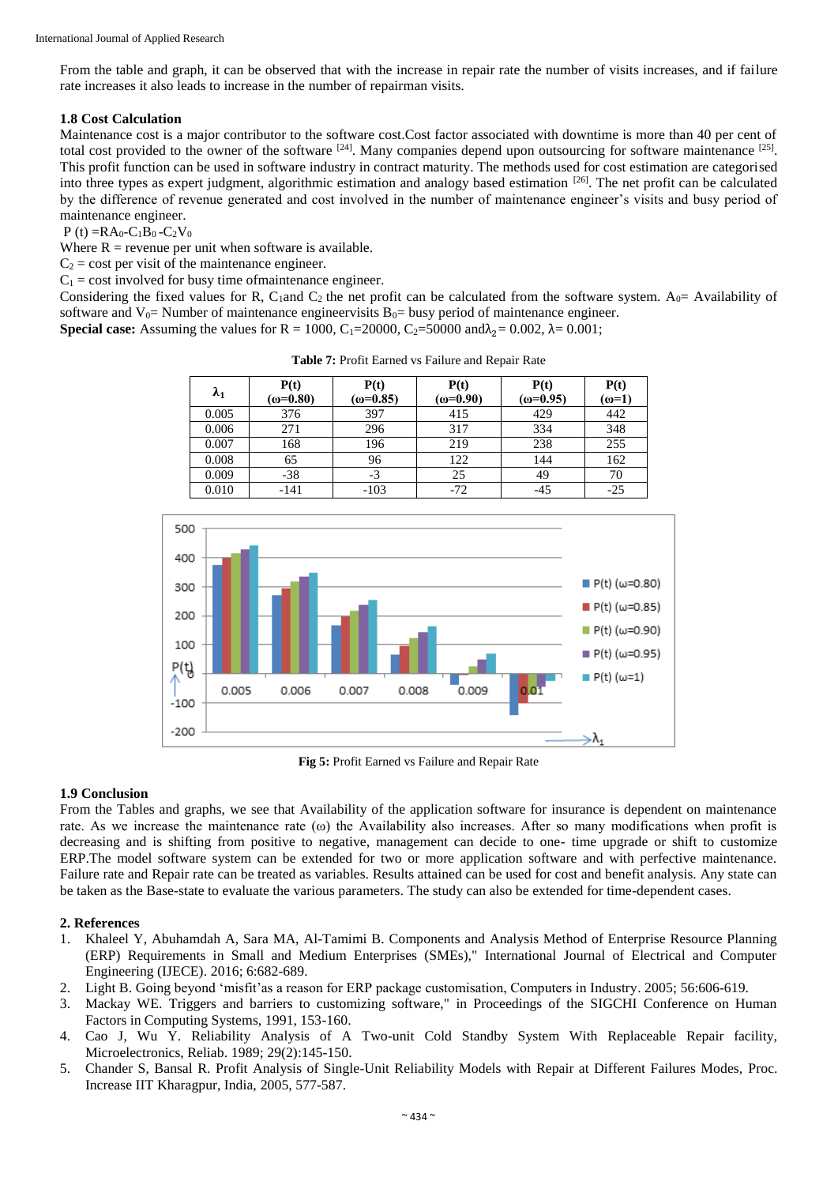From the table and graph, it can be observed that with the increase in repair rate the number of visits increases, and if failure rate increases it also leads to increase in the number of repairman visits.

# **1.8 Cost Calculation**

Maintenance cost is a major contributor to the software cost.Cost factor associated with downtime is more than 40 per cent of total cost provided to the owner of the software  $[24]$ . Many companies depend upon outsourcing for software maintenance  $[25]$ . This profit function can be used in software industry in contract maturity. The methods used for cost estimation are categorised into three types as expert judgment, algorithmic estimation and analogy based estimation [26]. The net profit can be calculated by the difference of revenue generated and cost involved in the number of maintenance engineer's visits and busy period of maintenance engineer.

 $P(t) = R A_0 - C_1 B_0 - C_2 V_0$ 

Where  $R$  = revenue per unit when software is available.

 $C_2$  = cost per visit of the maintenance engineer.

 $C_1$  = cost involved for busy time of maintenance engineer.

Considering the fixed values for R, C<sub>1</sub>and C<sub>2</sub> the net profit can be calculated from the software system. A<sub>0</sub> = Availability of software and  $V_0$ = Number of maintenance engineervisits  $B_0$ = busy period of maintenance engineer. **Special case:** Assuming the values for R = 1000, C<sub>1</sub>=20000, C<sub>2</sub>=50000 and $\lambda_2$ = 0.002,  $\lambda$ = 0.001;

| $\lambda_1$ | P(t)<br>$(\omega = 0.80)$ | P(t)<br>$(\omega = 0.85)$ | P(t)<br>$(\omega = 0.90)$ | P(t)<br>$(\omega = 0.95)$ | P(t)<br>$(\omega=1)$ |
|-------------|---------------------------|---------------------------|---------------------------|---------------------------|----------------------|
| 0.005       | 376                       | 397                       | 415                       | 429                       | 442                  |
| 0.006       | 271                       | 296                       | 317                       | 334                       | 348                  |
| 0.007       | 168                       | 196                       | 219                       | 238                       | 255                  |
| 0.008       | 65                        | 96                        | 122                       | 144                       | 162                  |
| 0.009       | $-38$                     | $-3$                      | 25                        | 49                        | 70                   |
| 0.010       | $-141$                    | $-103$                    | $-72$                     | $-45$                     | $-25$                |

**Table 7:** Profit Earned vs Failure and Repair Rate



**Fig 5:** Profit Earned vs Failure and Repair Rate

# **1.9 Conclusion**

From the Tables and graphs, we see that Availability of the application software for insurance is dependent on maintenance rate. As we increase the maintenance rate  $(\omega)$  the Availability also increases. After so many modifications when profit is decreasing and is shifting from positive to negative, management can decide to one- time upgrade or shift to customize ERP.The model software system can be extended for two or more application software and with perfective maintenance. Failure rate and Repair rate can be treated as variables. Results attained can be used for cost and benefit analysis. Any state can be taken as the Base-state to evaluate the various parameters. The study can also be extended for time-dependent cases.

## **2. References**

- 1. Khaleel Y, Abuhamdah A, Sara MA, Al-Tamimi B. Components and Analysis Method of Enterprise Resource Planning (ERP) Requirements in Small and Medium Enterprises (SMEs)," International Journal of Electrical and Computer Engineering (IJECE). 2016; 6:682-689.
- 2. Light B. Going beyond 'misfit'as a reason for ERP package customisation, Computers in Industry. 2005; 56:606-619.
- 3. Mackay WE. Triggers and barriers to customizing software," in Proceedings of the SIGCHI Conference on Human Factors in Computing Systems, 1991, 153-160.
- 4. Cao J, Wu Y. Reliability Analysis of A Two-unit Cold Standby System With Replaceable Repair facility, Microelectronics, Reliab. 1989; 29(2):145-150.
- 5. Chander S, Bansal R. Profit Analysis of Single-Unit Reliability Models with Repair at Different Failures Modes, Proc. Increase IIT Kharagpur, India, 2005, 577-587.